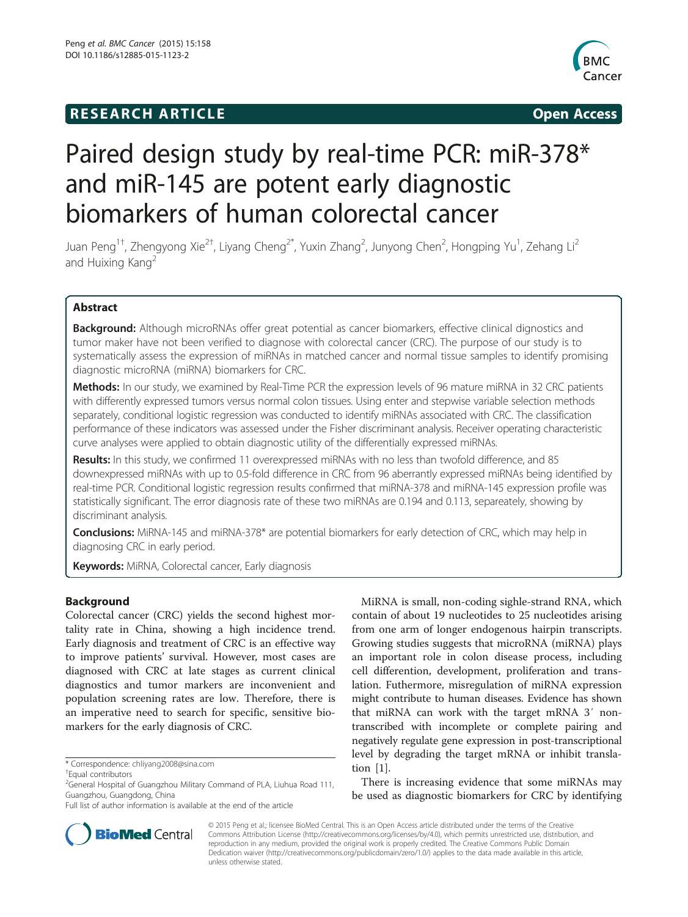# **RESEARCH ARTICLE Example 2014 Open Access**



# Paired design study by real-time PCR: miR-378\* and miR-145 are potent early diagnostic biomarkers of human colorectal cancer

Juan Peng<sup>1†</sup>, Zhengyong Xie<sup>2†</sup>, Liyang Cheng<sup>2\*</sup>, Yuxin Zhang<sup>2</sup>, Junyong Chen<sup>2</sup>, Hongping Yu<sup>1</sup>, Zehang Li<sup>2</sup> and Huixing Kang<sup>2</sup>

# Abstract

Background: Although microRNAs offer great potential as cancer biomarkers, effective clinical dignostics and tumor maker have not been verified to diagnose with colorectal cancer (CRC). The purpose of our study is to systematically assess the expression of miRNAs in matched cancer and normal tissue samples to identify promising diagnostic microRNA (miRNA) biomarkers for CRC.

Methods: In our study, we examined by Real-Time PCR the expression levels of 96 mature miRNA in 32 CRC patients with differently expressed tumors versus normal colon tissues. Using enter and stepwise variable selection methods separately, conditional logistic regression was conducted to identify miRNAs associated with CRC. The classification performance of these indicators was assessed under the Fisher discriminant analysis. Receiver operating characteristic curve analyses were applied to obtain diagnostic utility of the differentially expressed miRNAs.

Results: In this study, we confirmed 11 overexpressed miRNAs with no less than twofold difference, and 85 downexpressed miRNAs with up to 0.5-fold difference in CRC from 96 aberrantly expressed miRNAs being identified by real-time PCR. Conditional logistic regression results confirmed that miRNA-378 and miRNA-145 expression profile was statistically significant. The error diagnosis rate of these two miRNAs are 0.194 and 0.113, separeately, showing by discriminant analysis.

Conclusions: MiRNA-145 and miRNA-378\* are potential biomarkers for early detection of CRC, which may help in diagnosing CRC in early period.

Keywords: MiRNA, Colorectal cancer, Early diagnosis

### Background

Colorectal cancer (CRC) yields the second highest mortality rate in China, showing a high incidence trend. Early diagnosis and treatment of CRC is an effective way to improve patients' survival. However, most cases are diagnosed with CRC at late stages as current clinical diagnostics and tumor markers are inconvenient and population screening rates are low. Therefore, there is an imperative need to search for specific, sensitive biomarkers for the early diagnosis of CRC.

MiRNA is small, non-coding sighle-strand RNA, which contain of about 19 nucleotides to 25 nucleotides arising from one arm of longer endogenous hairpin transcripts. Growing studies suggests that microRNA (miRNA) plays an important role in colon disease process, including cell differention, development, proliferation and translation. Futhermore, misregulation of miRNA expression might contribute to human diseases. Evidence has shown that miRNA can work with the target mRNA 3′ nontranscribed with incomplete or complete pairing and negatively regulate gene expression in post-transcriptional level by degrading the target mRNA or inhibit translation [\[1](#page-6-0)].

There is increasing evidence that some miRNAs may be used as diagnostic biomarkers for CRC by identifying



© 2015 Peng et al.; licensee BioMed Central. This is an Open Access article distributed under the terms of the Creative Commons Attribution License [\(http://creativecommons.org/licenses/by/4.0\)](http://creativecommons.org/licenses/by/4.0), which permits unrestricted use, distribution, and reproduction in any medium, provided the original work is properly credited. The Creative Commons Public Domain Dedication waiver [\(http://creativecommons.org/publicdomain/zero/1.0/](http://creativecommons.org/publicdomain/zero/1.0/)) applies to the data made available in this article, unless otherwise stated.

<sup>\*</sup> Correspondence: [chliyang2008@sina.com](mailto:chliyang2008@sina.com) †

Equal contributors

<sup>&</sup>lt;sup>2</sup>General Hospital of Guangzhou Military Command of PLA, Liuhua Road 111, Guangzhou, Guangdong, China

Full list of author information is available at the end of the article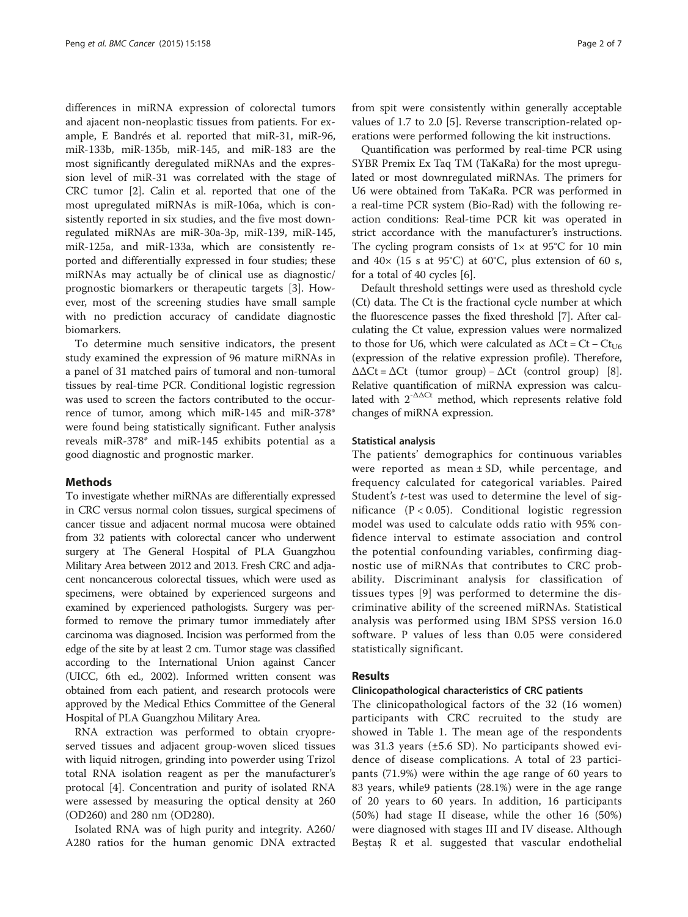differences in miRNA expression of colorectal tumors and ajacent non-neoplastic tissues from patients. For example, E Bandrés et al. reported that miR-31, miR-96, miR-133b, miR-135b, miR-145, and miR-183 are the most significantly deregulated miRNAs and the expression level of miR-31 was correlated with the stage of CRC tumor [[2\]](#page-6-0). Calin et al. reported that one of the most upregulated miRNAs is miR-106a, which is consistently reported in six studies, and the five most downregulated miRNAs are miR-30a-3p, miR-139, miR-145, miR-125a, and miR-133a, which are consistently reported and differentially expressed in four studies; these miRNAs may actually be of clinical use as diagnostic/ prognostic biomarkers or therapeutic targets [[3\]](#page-6-0). However, most of the screening studies have small sample with no prediction accuracy of candidate diagnostic biomarkers.

To determine much sensitive indicators, the present study examined the expression of 96 mature miRNAs in a panel of 31 matched pairs of tumoral and non-tumoral tissues by real-time PCR. Conditional logistic regression was used to screen the factors contributed to the occurrence of tumor, among which miR-145 and miR-378\* were found being statistically significant. Futher analysis reveals miR-378\* and miR-145 exhibits potential as a good diagnostic and prognostic marker.

#### Methods

To investigate whether miRNAs are differentially expressed in CRC versus normal colon tissues, surgical specimens of cancer tissue and adjacent normal mucosa were obtained from 32 patients with colorectal cancer who underwent surgery at The General Hospital of PLA Guangzhou Military Area between 2012 and 2013. Fresh CRC and adjacent noncancerous colorectal tissues, which were used as specimens, were obtained by experienced surgeons and examined by experienced pathologists. Surgery was performed to remove the primary tumor immediately after carcinoma was diagnosed. Incision was performed from the edge of the site by at least 2 cm. Tumor stage was classified according to the International Union against Cancer (UICC, 6th ed., 2002). Informed written consent was obtained from each patient, and research protocols were approved by the Medical Ethics Committee of the General Hospital of PLA Guangzhou Military Area.

RNA extraction was performed to obtain cryopreserved tissues and adjacent group-woven sliced tissues with liquid nitrogen, grinding into powerder using Trizol total RNA isolation reagent as per the manufacturer's protocal [[4\]](#page-6-0). Concentration and purity of isolated RNA were assessed by measuring the optical density at 260 (OD260) and 280 nm (OD280).

Isolated RNA was of high purity and integrity. A260/ A280 ratios for the human genomic DNA extracted

from spit were consistently within generally acceptable values of 1.7 to 2.0 [\[5](#page-6-0)]. Reverse transcription-related operations were performed following the kit instructions.

Quantification was performed by real-time PCR using SYBR Premix Ex Taq TM (TaKaRa) for the most upregulated or most downregulated miRNAs. The primers for U6 were obtained from TaKaRa. PCR was performed in a real-time PCR system (Bio-Rad) with the following reaction conditions: Real-time PCR kit was operated in strict accordance with the manufacturer's instructions. The cycling program consists of  $1\times$  at 95°C for 10 min and  $40\times$  (15 s at 95°C) at 60°C, plus extension of 60 s, for a total of 40 cycles [[6\]](#page-6-0).

Default threshold settings were used as threshold cycle (Ct) data. The Ct is the fractional cycle number at which the fluorescence passes the fixed threshold [\[7\]](#page-6-0). After calculating the Ct value, expression values were normalized to those for U6, which were calculated as  $\Delta$ Ct = Ct – Ct<sub>U6</sub> (expression of the relative expression profile). Therefore,  $\Delta \Delta \text{C}t = \Delta \text{C}t$  (tumor group) –  $\Delta \text{C}t$  (control group) [[8](#page-6-0)]. Relative quantification of miRNA expression was calculated with  $2^{-\Delta\Delta Ct}$  method, which represents relative fold changes of miRNA expression.

#### Statistical analysis

The patients' demographics for continuous variables were reported as mean ± SD, while percentage, and frequency calculated for categorical variables. Paired Student's t-test was used to determine the level of significance  $(P < 0.05)$ . Conditional logistic regression model was used to calculate odds ratio with 95% confidence interval to estimate association and control the potential confounding variables, confirming diagnostic use of miRNAs that contributes to CRC probability. Discriminant analysis for classification of tissues types [[9\]](#page-6-0) was performed to determine the discriminative ability of the screened miRNAs. Statistical analysis was performed using IBM SPSS version 16.0 software. P values of less than 0.05 were considered statistically significant.

#### Results

#### Clinicopathological characteristics of CRC patients

The clinicopathological factors of the 32 (16 women) participants with CRC recruited to the study are showed in Table [1.](#page-2-0) The mean age of the respondents was 31.3 years (±5.6 SD). No participants showed evidence of disease complications. A total of 23 participants (71.9%) were within the age range of 60 years to 83 years, while9 patients (28.1%) were in the age range of 20 years to 60 years. In addition, 16 participants (50%) had stage II disease, while the other 16 (50%) were diagnosed with stages III and IV disease. Although Beştaş R et al. suggested that vascular endothelial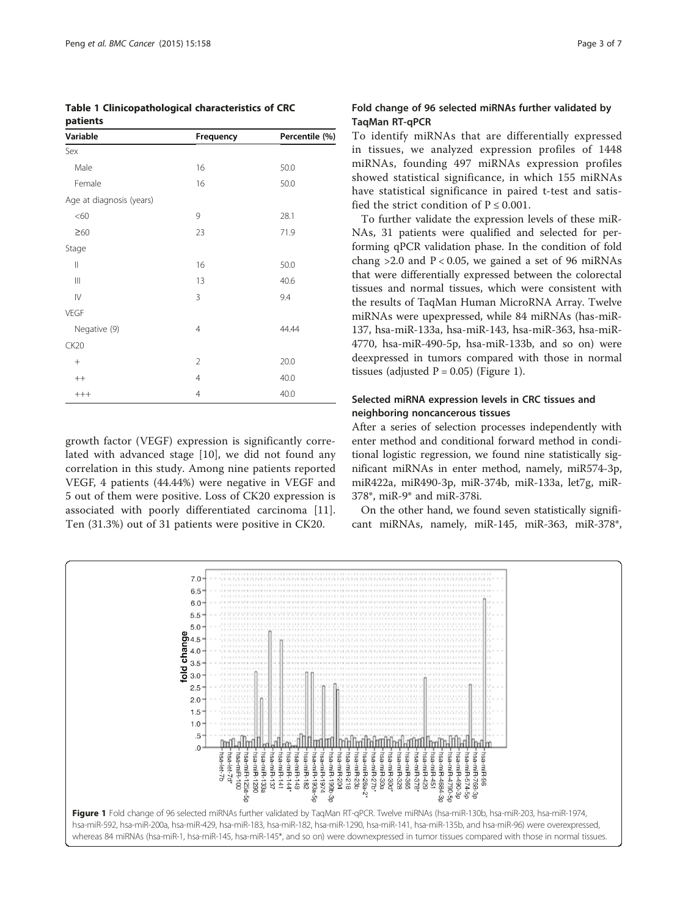<span id="page-2-0"></span>

| Table 1 Clinicopathological characteristics of CRC |  |
|----------------------------------------------------|--|
| patients                                           |  |

| Variable                              | Frequency      | Percentile (%) |
|---------------------------------------|----------------|----------------|
| Sex                                   |                |                |
| Male                                  | 16             | 50.0           |
| Female                                | 16             | 50.0           |
| Age at diagnosis (years)              |                |                |
| <60                                   | 9              | 28.1           |
| $\geq 60$                             | 23             | 71.9           |
| Stage                                 |                |                |
| $\mid \mid$                           | 16             | 50.0           |
| $\begin{array}{c} \hline \end{array}$ | 13             | 40.6           |
| $\mathsf{I}\mathsf{V}$                | 3              | 9.4            |
| <b>VEGF</b>                           |                |                |
| Negative (9)                          | 4              | 44.44          |
| CK20                                  |                |                |
| $^{+}$                                | $\overline{2}$ | 20.0           |
| $^{++}$                               | 4              | 40.0           |
| $++++$                                | $\overline{4}$ | 40.0           |

growth factor (VEGF) expression is significantly correlated with advanced stage [[10\]](#page-6-0), we did not found any correlation in this study. Among nine patients reported VEGF, 4 patients (44.44%) were negative in VEGF and 5 out of them were positive. Loss of CK20 expression is associated with poorly differentiated carcinoma [\[11](#page-6-0)]. Ten (31.3%) out of 31 patients were positive in CK20.

### Fold change of 96 selected miRNAs further validated by TaqMan RT-qPCR

To identify miRNAs that are differentially expressed in tissues, we analyzed expression profiles of 1448 miRNAs, founding 497 miRNAs expression profiles showed statistical significance, in which 155 miRNAs have statistical significance in paired t-test and satisfied the strict condition of  $P \le 0.001$ .

To further validate the expression levels of these miR-NAs, 31 patients were qualified and selected for performing qPCR validation phase. In the condition of fold chang  $>2.0$  and  $P < 0.05$ , we gained a set of 96 miRNAs that were differentially expressed between the colorectal tissues and normal tissues, which were consistent with the results of TaqMan Human MicroRNA Array. Twelve miRNAs were upexpressed, while 84 miRNAs (has-miR-137, hsa-miR-133a, hsa-miR-143, hsa-miR-363, hsa-miR-4770, hsa-miR-490-5p, hsa-miR-133b, and so on) were deexpressed in tumors compared with those in normal tissues (adjusted  $P = 0.05$ ) (Figure 1).

# Selected miRNA expression levels in CRC tissues and neighboring noncancerous tissues

After a series of selection processes independently with enter method and conditional forward method in conditional logistic regression, we found nine statistically significant miRNAs in enter method, namely, miR574-3p, miR422a, miR490-3p, miR-374b, miR-133a, let7g, miR-378\*, miR-9\* and miR-378i.

On the other hand, we found seven statistically significant miRNAs, namely, miR-145, miR-363, miR-378\*,

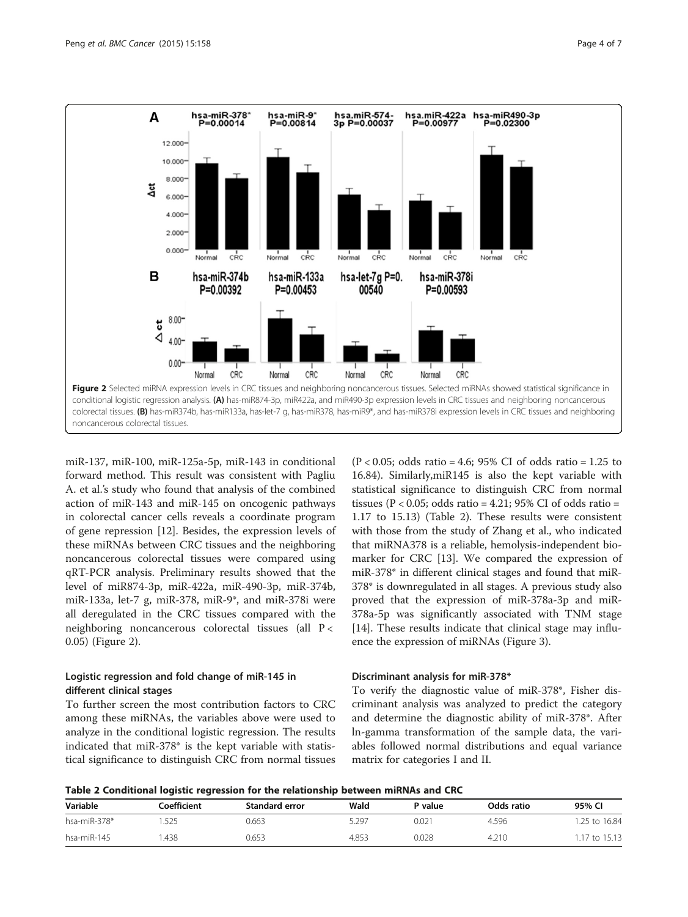

miR-137, miR-100, miR-125a-5p, miR-143 in conditional forward method. This result was consistent with Pagliu A. et al.'s study who found that analysis of the combined action of miR-143 and miR-145 on oncogenic pathways in colorectal cancer cells reveals a coordinate program of gene repression [\[12](#page-6-0)]. Besides, the expression levels of these miRNAs between CRC tissues and the neighboring noncancerous colorectal tissues were compared using qRT-PCR analysis. Preliminary results showed that the level of miR874-3p, miR-422a, miR-490-3p, miR-374b, miR-133a, let-7 g, miR-378, miR-9\*, and miR-378i were all deregulated in the CRC tissues compared with the neighboring noncancerous colorectal tissues (all P < 0.05) (Figure 2).

#### Logistic regression and fold change of miR-145 in different clinical stages

To further screen the most contribution factors to CRC among these miRNAs, the variables above were used to analyze in the conditional logistic regression. The results indicated that miR-378\* is the kept variable with statistical significance to distinguish CRC from normal tissues

(P < 0.05; odds ratio = 4.6; 95% CI of odds ratio = 1.25 to 16.84). Similarly,miR145 is also the kept variable with statistical significance to distinguish CRC from normal tissues ( $P < 0.05$ ; odds ratio = 4.21; 95% CI of odds ratio = 1.17 to 15.13) (Table 2). These results were consistent with those from the study of Zhang et al., who indicated that miRNA378 is a reliable, hemolysis-independent biomarker for CRC [[13\]](#page-6-0). We compared the expression of miR-378\* in different clinical stages and found that miR-378\* is downregulated in all stages. A previous study also proved that the expression of miR-378a-3p and miR-378a-5p was significantly associated with TNM stage [[14\]](#page-6-0). These results indicate that clinical stage may influence the expression of miRNAs (Figure [3\)](#page-4-0).

#### Discriminant analysis for miR-378\*

To verify the diagnostic value of miR-378\*, Fisher discriminant analysis was analyzed to predict the category and determine the diagnostic ability of miR-378\*. After ln-gamma transformation of the sample data, the variables followed normal distributions and equal variance matrix for categories I and II.

Table 2 Conditional logistic regression for the relationship between miRNAs and CRC

| --- ------- -- -- --- -- -- -- - |             |                |       |                       |            |               |
|----------------------------------|-------------|----------------|-------|-----------------------|------------|---------------|
| Variable                         | Coefficient | Standard error | Wald  | <sup>&gt;</sup> value | Odds ratio | 95% CI        |
| hsa-miR-378 $*$                  | .525        | 0.663          | 5.297 | 0.021                 | 4.596      | 1.25 to 16.84 |
| hsa-miR-145                      | .438        | 0.653          | 4.853 | 0.028                 | 4.210      | 1.17 to 15.13 |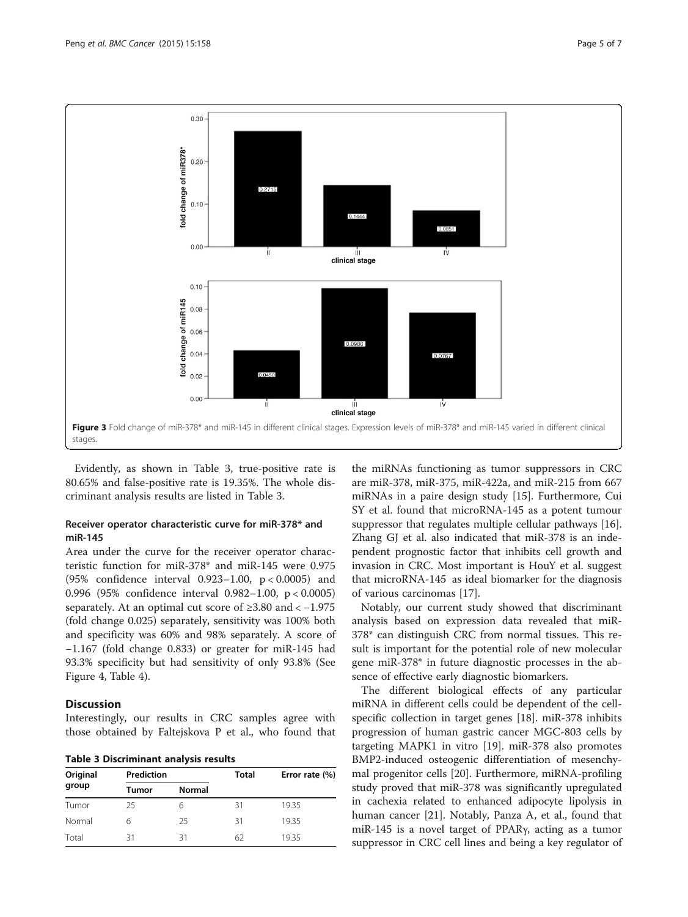<span id="page-4-0"></span>

Evidently, as shown in Table 3, true-positive rate is 80.65% and false-positive rate is 19.35%. The whole discriminant analysis results are listed in Table 3.

#### Receiver operator characteristic curve for miR-378\* and miR-145

Area under the curve for the receiver operator characteristic function for miR-378\* and miR-145 were 0.975 (95% confidence interval 0.923–1.00, p < 0.0005) and 0.996 (95% confidence interval 0.982–1.00, p < 0.0005) separately. At an optimal cut score of  $\geq 3.80$  and  $\lt$  -1.975 (fold change 0.025) separately, sensitivity was 100% both and specificity was 60% and 98% separately. A score of −1.167 (fold change 0.833) or greater for miR-145 had 93.3% specificity but had sensitivity of only 93.8% (See Figure [4](#page-5-0), Table [4\)](#page-5-0).

#### **Discussion**

Interestingly, our results in CRC samples agree with those obtained by Faltejskova P et al., who found that

Table 3 Discriminant analysis results

| Original | Prediction |               | <b>Total</b> | Error rate (%) |  |
|----------|------------|---------------|--------------|----------------|--|
| group    | Tumor      | <b>Normal</b> |              |                |  |
| Tumor    | 25         | h             | 31           | 19.35          |  |
| Normal   | 6          | 25            | 31           | 19.35          |  |
| Total    | 31         | 31            | 62           | 19.35          |  |

the miRNAs functioning as tumor suppressors in CRC are miR-378, miR-375, miR-422a, and miR-215 from 667 miRNAs in a paire design study [[15\]](#page-6-0). Furthermore, Cui SY et al. found that microRNA-145 as a potent tumour suppressor that regulates multiple cellular pathways [\[16](#page-6-0)]. Zhang GJ et al. also indicated that miR-378 is an independent prognostic factor that inhibits cell growth and invasion in CRC. Most important is HouY et al. suggest that microRNA-145 as ideal biomarker for the diagnosis of various carcinomas [[17\]](#page-6-0).

Notably, our current study showed that discriminant analysis based on expression data revealed that miR-378\* can distinguish CRC from normal tissues. This result is important for the potential role of new molecular gene miR-378\* in future diagnostic processes in the absence of effective early diagnostic biomarkers.

The different biological effects of any particular miRNA in different cells could be dependent of the cellspecific collection in target genes [[18](#page-6-0)]. miR-378 inhibits progression of human gastric cancer MGC-803 cells by targeting MAPK1 in vitro [\[19](#page-6-0)]. miR-378 also promotes BMP2-induced osteogenic differentiation of mesenchymal progenitor cells [\[20](#page-6-0)]. Furthermore, miRNA-profiling study proved that miR-378 was significantly upregulated in cachexia related to enhanced adipocyte lipolysis in human cancer [[21](#page-6-0)]. Notably, Panza A, et al., found that miR-145 is a novel target of PPARγ, acting as a tumor suppressor in CRC cell lines and being a key regulator of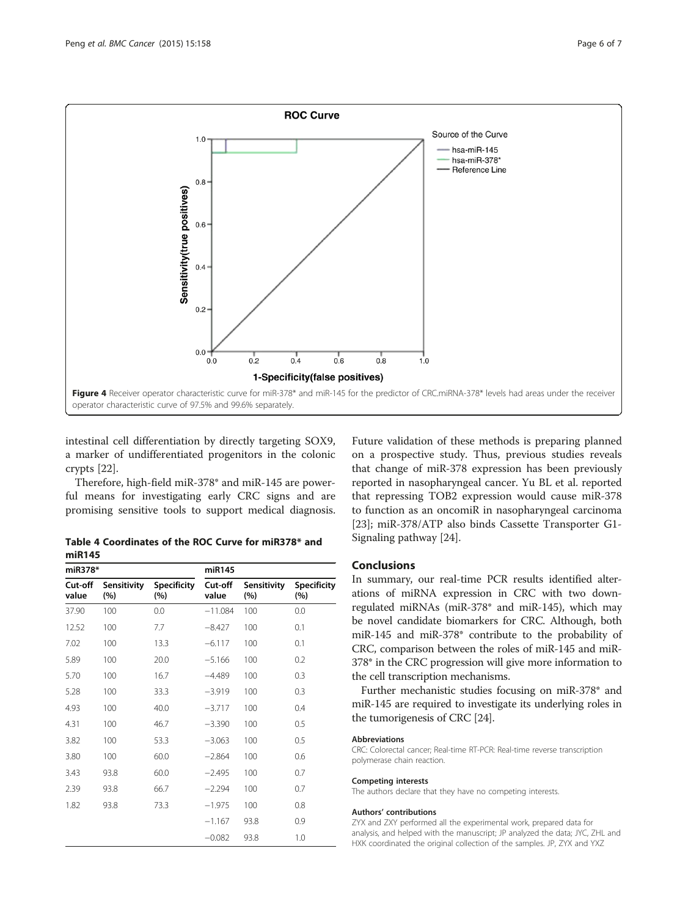<span id="page-5-0"></span>

intestinal cell differentiation by directly targeting SOX9, a marker of undifferentiated progenitors in the colonic crypts [[22](#page-6-0)].

Therefore, high-field miR-378\* and miR-145 are powerful means for investigating early CRC signs and are promising sensitive tools to support medical diagnosis.

Table 4 Coordinates of the ROC Curve for miR378\* and miR145

| miR378*          |                    | miR145                    |                  |                    |                           |
|------------------|--------------------|---------------------------|------------------|--------------------|---------------------------|
| Cut-off<br>value | Sensitivity<br>(%) | <b>Specificity</b><br>(%) | Cut-off<br>value | Sensitivity<br>(%) | <b>Specificity</b><br>(%) |
| 37.90            | 100                | 0.0                       | $-11.084$        | 100                | 0.0                       |
| 12.52            | 100                | 7.7                       | $-8.427$         | 100                | 0.1                       |
| 7.02             | 100                | 13.3                      | $-6.117$         | 100                | 0.1                       |
| 5.89             | 100                | 20.0                      | $-5.166$         | 100                | 0.2                       |
| 5.70             | 100                | 16.7                      | $-4.489$         | 100                | 0.3                       |
| 5.28             | 100                | 33.3                      | $-3.919$         | 100                | 0.3                       |
| 4.93             | 100                | 40.0                      | $-3.717$         | 100                | 0.4                       |
| 4.31             | 100                | 46.7                      | $-3.390$         | 100                | 0.5                       |
| 3.82             | 100                | 53.3                      | $-3.063$         | 100                | 0.5                       |
| 3.80             | 100                | 60.0                      | $-2.864$         | 100                | 0.6                       |
| 3.43             | 93.8               | 60.0                      | $-2.495$         | 100                | 0.7                       |
| 2.39             | 93.8               | 66.7                      | $-2.294$         | 100                | 0.7                       |
| 1.82             | 93.8               | 73.3                      | $-1.975$         | 100                | 0.8                       |
|                  |                    |                           | $-1.167$         | 93.8               | 0.9                       |
|                  |                    |                           | $-0.082$         | 93.8               | 1.0                       |
|                  |                    |                           |                  |                    |                           |

Future validation of these methods is preparing planned on a prospective study. Thus, previous studies reveals that change of miR-378 expression has been previously reported in nasopharyngeal cancer. Yu BL et al. reported that repressing TOB2 expression would cause miR-378 to function as an oncomiR in nasopharyngeal carcinoma [[23\]](#page-6-0); miR-378/ATP also binds Cassette Transporter G1- Signaling pathway [\[24\]](#page-6-0).

## **Conclusions**

In summary, our real-time PCR results identified alterations of miRNA expression in CRC with two downregulated miRNAs (miR-378\* and miR-145), which may be novel candidate biomarkers for CRC. Although, both miR-145 and miR-378\* contribute to the probability of CRC, comparison between the roles of miR-145 and miR-378\* in the CRC progression will give more information to the cell transcription mechanisms.

Further mechanistic studies focusing on miR-378\* and miR-145 are required to investigate its underlying roles in the tumorigenesis of CRC [[24](#page-6-0)].

#### Abbreviations

CRC: Colorectal cancer; Real-time RT-PCR: Real-time reverse transcription polymerase chain reaction.

#### Competing interests

The authors declare that they have no competing interests.

#### Authors' contributions

ZYX and ZXY performed all the experimental work, prepared data for analysis, and helped with the manuscript; JP analyzed the data; JYC, ZHL and HXK coordinated the original collection of the samples. JP, ZYX and YXZ